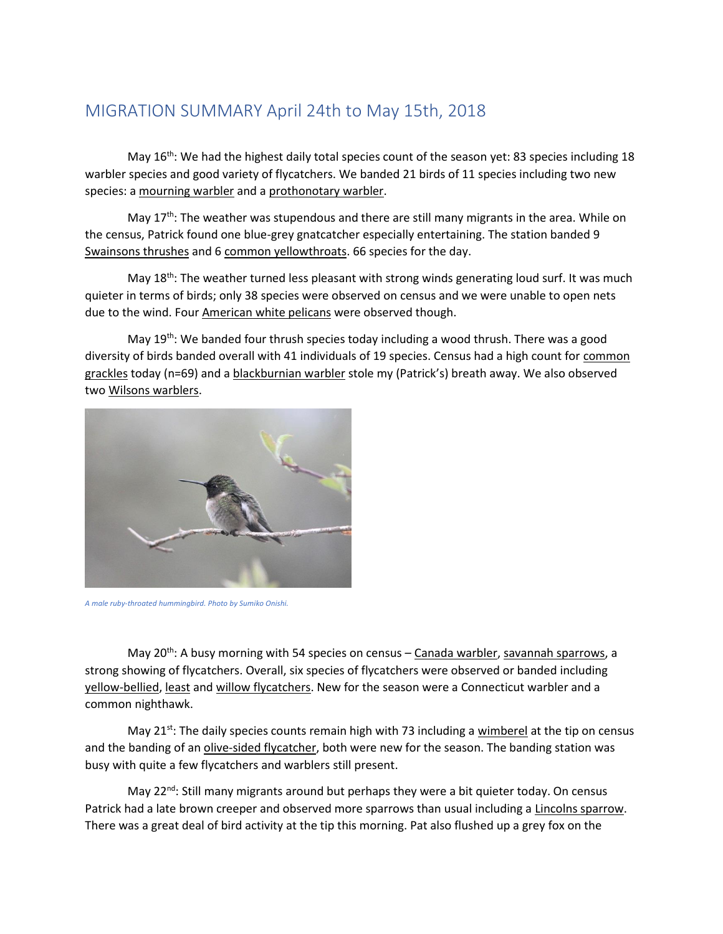## MIGRATION SUMMARY April 24th to May 15th, 2018

May 16<sup>th</sup>: We had the highest daily total species count of the season yet: 83 species including 18 warbler species and good variety of flycatchers. We banded 21 birds of 11 species including two new species: a mourning warbler and a prothonotary warbler.

May  $17<sup>th</sup>$ : The weather was stupendous and there are still many migrants in the area. While on the census, Patrick found one blue-grey gnatcatcher especially entertaining. The station banded 9 Swainsons thrushes and 6 common yellowthroats. 66 species for the day.

May 18<sup>th</sup>: The weather turned less pleasant with strong winds generating loud surf. It was much quieter in terms of birds; only 38 species were observed on census and we were unable to open nets due to the wind. Four American white pelicans were observed though.

May 19<sup>th</sup>: We banded four thrush species today including a wood thrush. There was a good diversity of birds banded overall with 41 individuals of 19 species. Census had a high count for common grackles today (n=69) and a blackburnian warbler stole my (Patrick's) breath away. We also observed two Wilsons warblers.



*A male ruby-throated hummingbird. Photo by Sumiko Onishi.*

May 20<sup>th</sup>: A busy morning with 54 species on census - Canada warbler, savannah sparrows, a strong showing of flycatchers. Overall, six species of flycatchers were observed or banded including yellow-bellied, least and willow flycatchers. New for the season were a Connecticut warbler and a common nighthawk.

May 21<sup>st</sup>: The daily species counts remain high with 73 including a wimberel at the tip on census and the banding of an olive-sided flycatcher, both were new for the season. The banding station was busy with quite a few flycatchers and warblers still present.

May 22<sup>nd</sup>: Still many migrants around but perhaps they were a bit quieter today. On census Patrick had a late brown creeper and observed more sparrows than usual including a Lincolns sparrow. There was a great deal of bird activity at the tip this morning. Pat also flushed up a grey fox on the